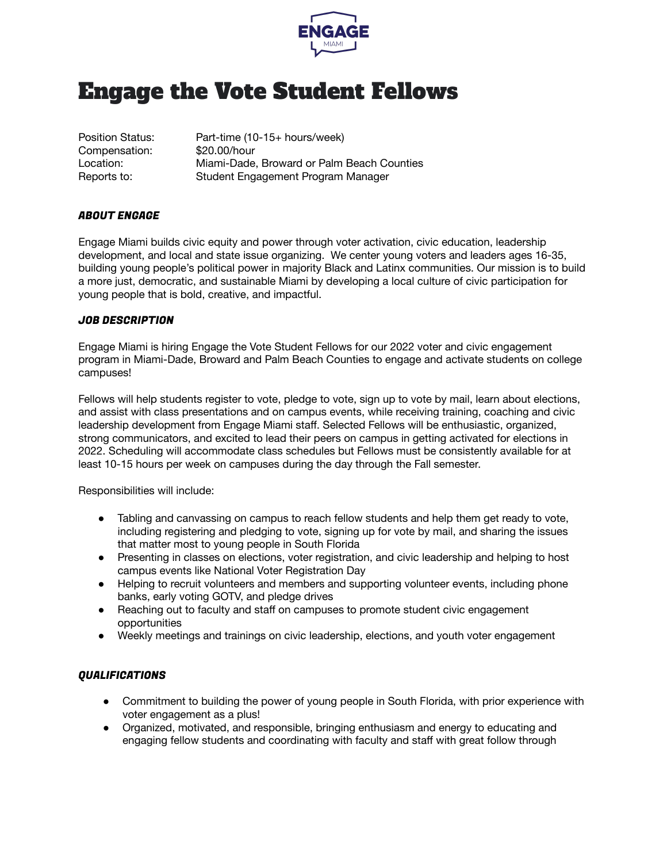

## Engage the Vote Student Fellows

Compensation: \$20.00/hour

Position Status: Part-time (10-15+ hours/week) Location: Miami-Dade, Broward or Palm Beach Counties Reports to: Student Engagement Program Manager

## ABOUT ENGAGE

Engage Miami builds civic equity and power through voter activation, civic education, leadership development, and local and state issue organizing. We center young voters and leaders ages 16-35, building young people's political power in majority Black and Latinx communities. Our mission is to build a more just, democratic, and sustainable Miami by developing a local culture of civic participation for young people that is bold, creative, and impactful.

## JOB DESCRIPTION

Engage Miami is hiring Engage the Vote Student Fellows for our 2022 voter and civic engagement program in Miami-Dade, Broward and Palm Beach Counties to engage and activate students on college campuses!

Fellows will help students register to vote, pledge to vote, sign up to vote by mail, learn about elections, and assist with class presentations and on campus events, while receiving training, coaching and civic leadership development from Engage Miami staff. Selected Fellows will be enthusiastic, organized, strong communicators, and excited to lead their peers on campus in getting activated for elections in 2022. Scheduling will accommodate class schedules but Fellows must be consistently available for at least 10-15 hours per week on campuses during the day through the Fall semester.

Responsibilities will include:

- Tabling and canvassing on campus to reach fellow students and help them get ready to vote, including registering and pledging to vote, signing up for vote by mail, and sharing the issues that matter most to young people in South Florida
- Presenting in classes on elections, voter registration, and civic leadership and helping to host campus events like National Voter Registration Day
- Helping to recruit volunteers and members and supporting volunteer events, including phone banks, early voting GOTV, and pledge drives
- Reaching out to faculty and staff on campuses to promote student civic engagement opportunities
- Weekly meetings and trainings on civic leadership, elections, and youth voter engagement

## QUALIFICATIONS

- Commitment to building the power of young people in South Florida, with prior experience with voter engagement as a plus!
- Organized, motivated, and responsible, bringing enthusiasm and energy to educating and engaging fellow students and coordinating with faculty and staff with great follow through